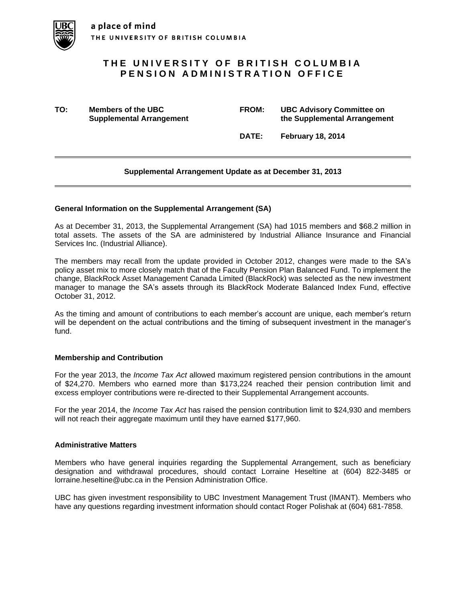

# **THE UNIVERSITY OF BRITISH COLUMBIA PENSION ADMINISTRATION OFFICE**

**TO: Members of the UBC FROM: UBC Advisory Committee on Supplemental Arrangement the Supplemental Arrangement**

**DATE: February 18, 2014**

### **Supplemental Arrangement Update as at December 31, 2013**

#### **General Information on the Supplemental Arrangement (SA)**

As at December 31, 2013, the Supplemental Arrangement (SA) had 1015 members and \$68.2 million in total assets. The assets of the SA are administered by Industrial Alliance Insurance and Financial Services Inc. (Industrial Alliance).

The members may recall from the update provided in October 2012, changes were made to the SA's policy asset mix to more closely match that of the Faculty Pension Plan Balanced Fund. To implement the change, BlackRock Asset Management Canada Limited (BlackRock) was selected as the new investment manager to manage the SA's assets through its BlackRock Moderate Balanced Index Fund, effective October 31, 2012.

As the timing and amount of contributions to each member's account are unique, each member's return will be dependent on the actual contributions and the timing of subsequent investment in the manager's fund.

#### **Membership and Contribution**

For the year 2013, the *Income Tax Act* allowed maximum registered pension contributions in the amount of \$24,270. Members who earned more than \$173,224 reached their pension contribution limit and excess employer contributions were re-directed to their Supplemental Arrangement accounts.

For the year 2014, the *Income Tax Act* has raised the pension contribution limit to \$24,930 and members will not reach their aggregate maximum until they have earned \$177,960.

#### **Administrative Matters**

Members who have general inquiries regarding the Supplemental Arrangement, such as beneficiary designation and withdrawal procedures, should contact Lorraine Heseltine at (604) 822-3485 or lorraine.heseltine@ubc.ca in the Pension Administration Office.

UBC has given investment responsibility to UBC Investment Management Trust (IMANT). Members who have any questions regarding investment information should contact Roger Polishak at (604) 681-7858.